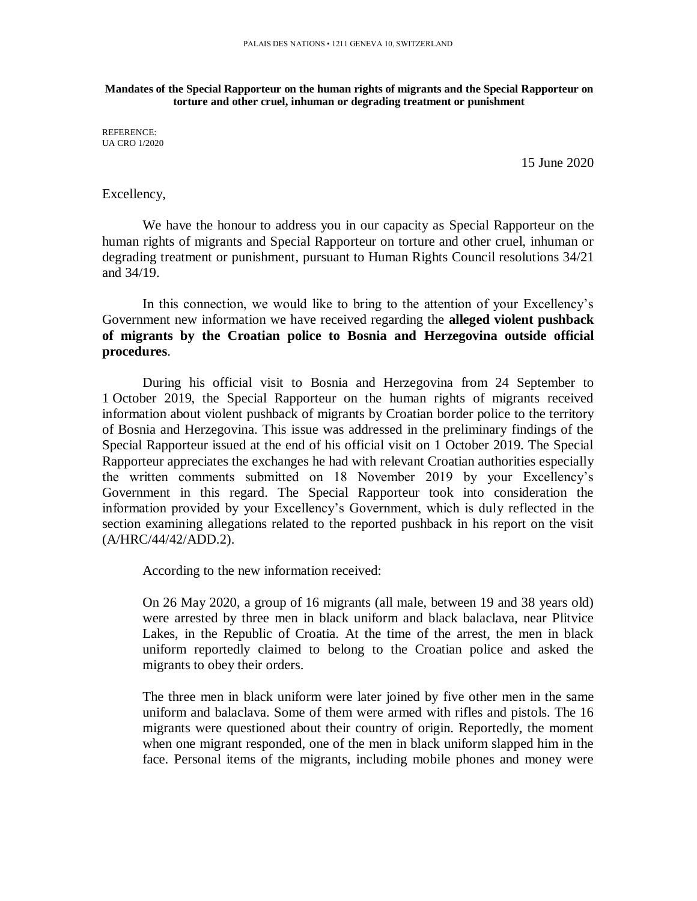**Mandates of the Special Rapporteur on the human rights of migrants and the Special Rapporteur on torture and other cruel, inhuman or degrading treatment or punishment**

REFERENCE: UA CRO 1/2020

15 June 2020

## Excellency,

We have the honour to address you in our capacity as Special Rapporteur on the human rights of migrants and Special Rapporteur on torture and other cruel, inhuman or degrading treatment or punishment, pursuant to Human Rights Council resolutions 34/21 and 34/19.

In this connection, we would like to bring to the attention of your Excellency's Government new information we have received regarding the **alleged violent pushback of migrants by the Croatian police to Bosnia and Herzegovina outside official procedures**.

During his official visit to Bosnia and Herzegovina from 24 September to 1 October 2019, the Special Rapporteur on the human rights of migrants received information about violent pushback of migrants by Croatian border police to the territory of Bosnia and Herzegovina. This issue was addressed in the preliminary findings of the Special Rapporteur issued at the end of his official visit on 1 October 2019. The Special Rapporteur appreciates the exchanges he had with relevant Croatian authorities especially the written comments submitted on 18 November 2019 by your Excellency's Government in this regard. The Special Rapporteur took into consideration the information provided by your Excellency's Government, which is duly reflected in the section examining allegations related to the reported pushback in his report on the visit (A/HRC/44/42/ADD.2).

According to the new information received:

On 26 May 2020, a group of 16 migrants (all male, between 19 and 38 years old) were arrested by three men in black uniform and black balaclava, near Plitvice Lakes, in the Republic of Croatia. At the time of the arrest, the men in black uniform reportedly claimed to belong to the Croatian police and asked the migrants to obey their orders.

The three men in black uniform were later joined by five other men in the same uniform and balaclava. Some of them were armed with rifles and pistols. The 16 migrants were questioned about their country of origin. Reportedly, the moment when one migrant responded, one of the men in black uniform slapped him in the face. Personal items of the migrants, including mobile phones and money were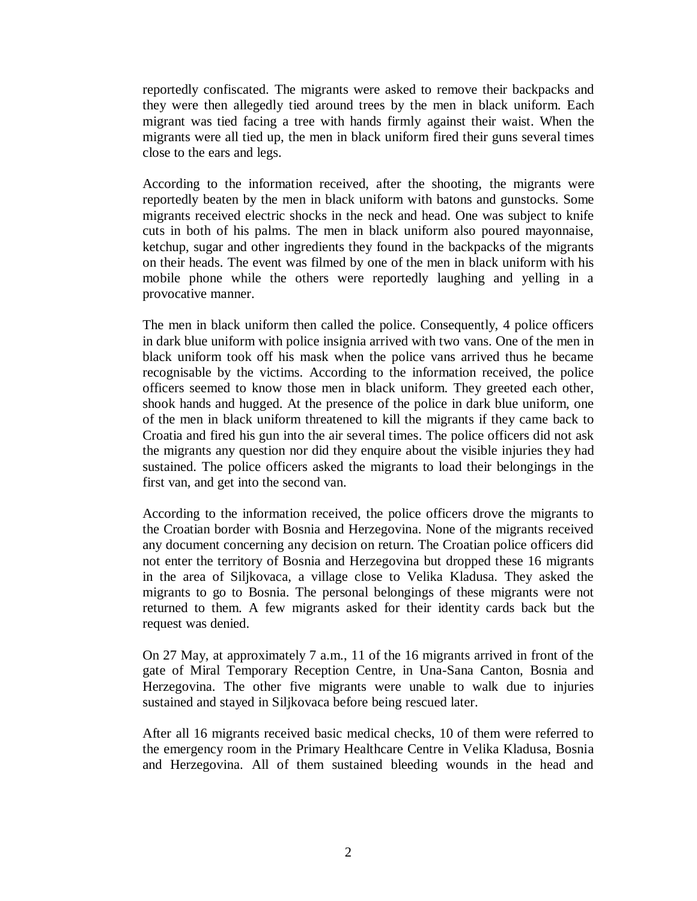reportedly confiscated. The migrants were asked to remove their backpacks and they were then allegedly tied around trees by the men in black uniform. Each migrant was tied facing a tree with hands firmly against their waist. When the migrants were all tied up, the men in black uniform fired their guns several times close to the ears and legs.

According to the information received, after the shooting, the migrants were reportedly beaten by the men in black uniform with batons and gunstocks. Some migrants received electric shocks in the neck and head. One was subject to knife cuts in both of his palms. The men in black uniform also poured mayonnaise, ketchup, sugar and other ingredients they found in the backpacks of the migrants on their heads. The event was filmed by one of the men in black uniform with his mobile phone while the others were reportedly laughing and yelling in a provocative manner.

The men in black uniform then called the police. Consequently, 4 police officers in dark blue uniform with police insignia arrived with two vans. One of the men in black uniform took off his mask when the police vans arrived thus he became recognisable by the victims. According to the information received, the police officers seemed to know those men in black uniform. They greeted each other, shook hands and hugged. At the presence of the police in dark blue uniform, one of the men in black uniform threatened to kill the migrants if they came back to Croatia and fired his gun into the air several times. The police officers did not ask the migrants any question nor did they enquire about the visible injuries they had sustained. The police officers asked the migrants to load their belongings in the first van, and get into the second van.

According to the information received, the police officers drove the migrants to the Croatian border with Bosnia and Herzegovina. None of the migrants received any document concerning any decision on return. The Croatian police officers did not enter the territory of Bosnia and Herzegovina but dropped these 16 migrants in the area of Siljkovaca, a village close to Velika Kladusa. They asked the migrants to go to Bosnia. The personal belongings of these migrants were not returned to them. A few migrants asked for their identity cards back but the request was denied.

On 27 May, at approximately 7 a.m., 11 of the 16 migrants arrived in front of the gate of Miral Temporary Reception Centre, in Una-Sana Canton, Bosnia and Herzegovina. The other five migrants were unable to walk due to injuries sustained and stayed in Siljkovaca before being rescued later.

After all 16 migrants received basic medical checks, 10 of them were referred to the emergency room in the Primary Healthcare Centre in Velika Kladusa, Bosnia and Herzegovina. All of them sustained bleeding wounds in the head and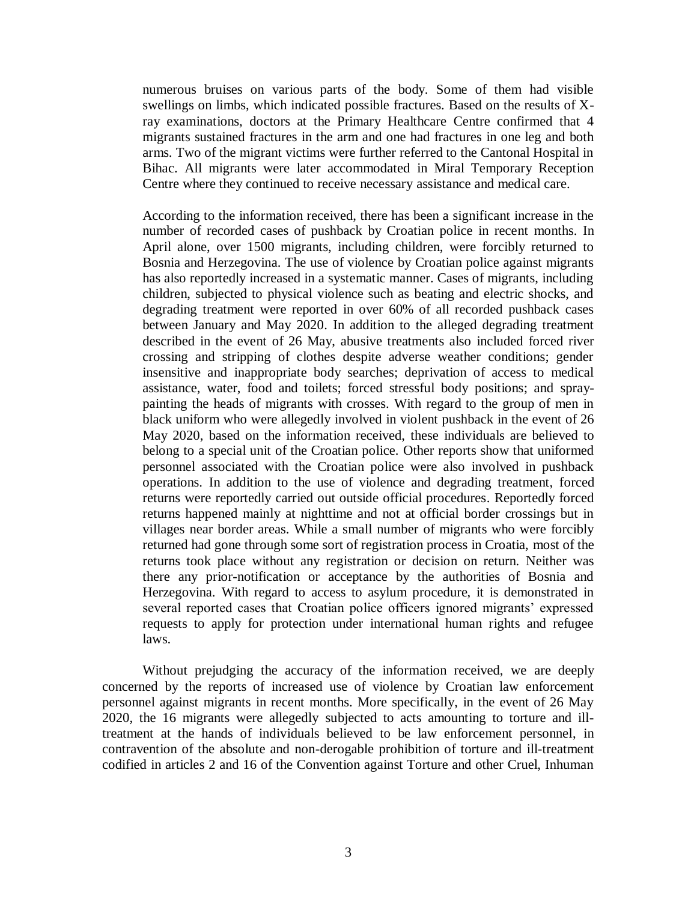numerous bruises on various parts of the body. Some of them had visible swellings on limbs, which indicated possible fractures. Based on the results of Xray examinations, doctors at the Primary Healthcare Centre confirmed that 4 migrants sustained fractures in the arm and one had fractures in one leg and both arms. Two of the migrant victims were further referred to the Cantonal Hospital in Bihac. All migrants were later accommodated in Miral Temporary Reception Centre where they continued to receive necessary assistance and medical care.

According to the information received, there has been a significant increase in the number of recorded cases of pushback by Croatian police in recent months. In April alone, over 1500 migrants, including children, were forcibly returned to Bosnia and Herzegovina. The use of violence by Croatian police against migrants has also reportedly increased in a systematic manner. Cases of migrants, including children, subjected to physical violence such as beating and electric shocks, and degrading treatment were reported in over 60% of all recorded pushback cases between January and May 2020. In addition to the alleged degrading treatment described in the event of 26 May, abusive treatments also included forced river crossing and stripping of clothes despite adverse weather conditions; gender insensitive and inappropriate body searches; deprivation of access to medical assistance, water, food and toilets; forced stressful body positions; and spraypainting the heads of migrants with crosses. With regard to the group of men in black uniform who were allegedly involved in violent pushback in the event of 26 May 2020, based on the information received, these individuals are believed to belong to a special unit of the Croatian police. Other reports show that uniformed personnel associated with the Croatian police were also involved in pushback operations. In addition to the use of violence and degrading treatment, forced returns were reportedly carried out outside official procedures. Reportedly forced returns happened mainly at nighttime and not at official border crossings but in villages near border areas. While a small number of migrants who were forcibly returned had gone through some sort of registration process in Croatia, most of the returns took place without any registration or decision on return. Neither was there any prior-notification or acceptance by the authorities of Bosnia and Herzegovina. With regard to access to asylum procedure, it is demonstrated in several reported cases that Croatian police officers ignored migrants' expressed requests to apply for protection under international human rights and refugee laws.

Without prejudging the accuracy of the information received, we are deeply concerned by the reports of increased use of violence by Croatian law enforcement personnel against migrants in recent months. More specifically, in the event of 26 May 2020, the 16 migrants were allegedly subjected to acts amounting to torture and illtreatment at the hands of individuals believed to be law enforcement personnel, in contravention of the absolute and non-derogable prohibition of torture and ill-treatment codified in articles 2 and 16 of the Convention against Torture and other Cruel, Inhuman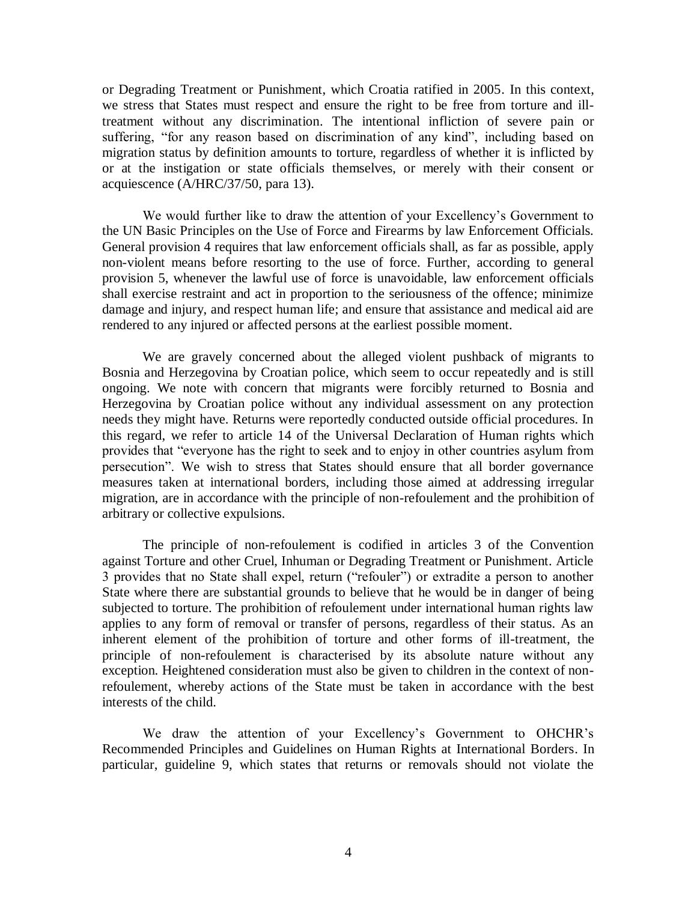or Degrading Treatment or Punishment, which Croatia ratified in 2005. In this context, we stress that States must respect and ensure the right to be free from torture and illtreatment without any discrimination. The intentional infliction of severe pain or suffering, "for any reason based on discrimination of any kind", including based on migration status by definition amounts to torture, regardless of whether it is inflicted by or at the instigation or state officials themselves, or merely with their consent or acquiescence (A/HRC/37/50, para 13).

We would further like to draw the attention of your Excellency's Government to the UN Basic Principles on the Use of Force and Firearms by law Enforcement Officials. General provision 4 requires that law enforcement officials shall, as far as possible, apply non-violent means before resorting to the use of force. Further, according to general provision 5, whenever the lawful use of force is unavoidable, law enforcement officials shall exercise restraint and act in proportion to the seriousness of the offence; minimize damage and injury, and respect human life; and ensure that assistance and medical aid are rendered to any injured or affected persons at the earliest possible moment.

We are gravely concerned about the alleged violent pushback of migrants to Bosnia and Herzegovina by Croatian police, which seem to occur repeatedly and is still ongoing. We note with concern that migrants were forcibly returned to Bosnia and Herzegovina by Croatian police without any individual assessment on any protection needs they might have. Returns were reportedly conducted outside official procedures. In this regard, we refer to article 14 of the Universal Declaration of Human rights which provides that "everyone has the right to seek and to enjoy in other countries asylum from persecution". We wish to stress that States should ensure that all border governance measures taken at international borders, including those aimed at addressing irregular migration, are in accordance with the principle of non-refoulement and the prohibition of arbitrary or collective expulsions.

The principle of non-refoulement is codified in articles 3 of the Convention against Torture and other Cruel, Inhuman or Degrading Treatment or Punishment. Article 3 provides that no State shall expel, return ("refouler") or extradite a person to another State where there are substantial grounds to believe that he would be in danger of being subjected to torture. The prohibition of refoulement under international human rights law applies to any form of removal or transfer of persons, regardless of their status. As an inherent element of the prohibition of torture and other forms of ill-treatment, the principle of non-refoulement is characterised by its absolute nature without any exception. Heightened consideration must also be given to children in the context of nonrefoulement, whereby actions of the State must be taken in accordance with the best interests of the child.

We draw the attention of your Excellency's Government to OHCHR's Recommended Principles and Guidelines on Human Rights at International Borders. In particular, guideline 9, which states that returns or removals should not violate the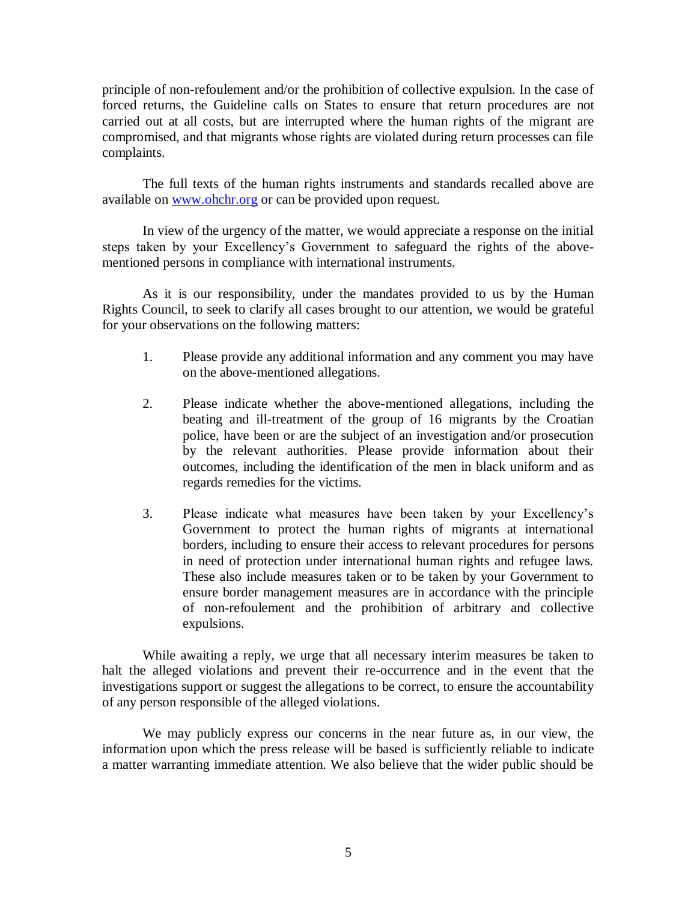principle of non-refoulement and/or the prohibition of collective expulsion. In the case of forced returns, the Guideline calls on States to ensure that return procedures are not carried out at all costs, but are interrupted where the human rights of the migrant are compromised, and that migrants whose rights are violated during return processes can file complaints.

The full texts of the human rights instruments and standards recalled above are available on [www.ohchr.org](http://www.ohchr.org/) or can be provided upon request.

In view of the urgency of the matter, we would appreciate a response on the initial steps taken by your Excellency's Government to safeguard the rights of the abovementioned persons in compliance with international instruments.

As it is our responsibility, under the mandates provided to us by the Human Rights Council, to seek to clarify all cases brought to our attention, we would be grateful for your observations on the following matters:

- 1. Please provide any additional information and any comment you may have on the above-mentioned allegations.
- 2. Please indicate whether the above-mentioned allegations, including the beating and ill-treatment of the group of 16 migrants by the Croatian police, have been or are the subject of an investigation and/or prosecution by the relevant authorities. Please provide information about their outcomes, including the identification of the men in black uniform and as regards remedies for the victims.
- 3. Please indicate what measures have been taken by your Excellency's Government to protect the human rights of migrants at international borders, including to ensure their access to relevant procedures for persons in need of protection under international human rights and refugee laws. These also include measures taken or to be taken by your Government to ensure border management measures are in accordance with the principle of non-refoulement and the prohibition of arbitrary and collective expulsions.

While awaiting a reply, we urge that all necessary interim measures be taken to halt the alleged violations and prevent their re-occurrence and in the event that the investigations support or suggest the allegations to be correct, to ensure the accountability of any person responsible of the alleged violations.

We may publicly express our concerns in the near future as, in our view, the information upon which the press release will be based is sufficiently reliable to indicate a matter warranting immediate attention. We also believe that the wider public should be